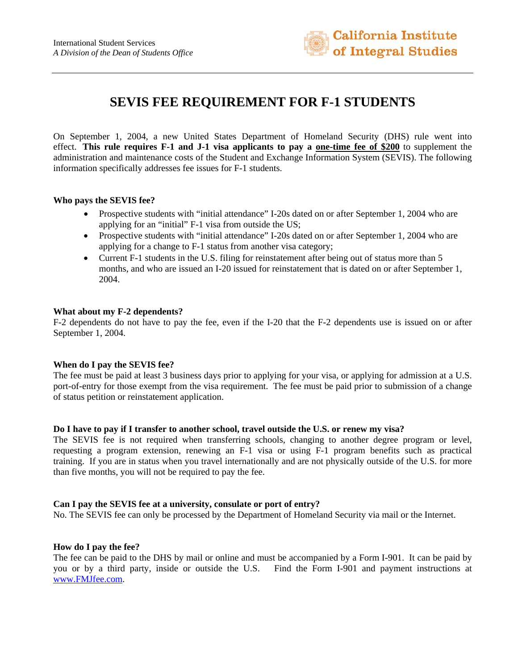

# **SEVIS FEE REQUIREMENT FOR F-1 STUDENTS**

On September 1, 2004, a new United States Department of Homeland Security (DHS) rule went into effect. **This rule requires F-1 and J-1 visa applicants to pay a one-time fee of \$200** to supplement the administration and maintenance costs of the Student and Exchange Information System (SEVIS). The following information specifically addresses fee issues for F-1 students.

### **Who pays the SEVIS fee?**

- Prospective students with "initial attendance" I-20s dated on or after September 1, 2004 who are applying for an "initial" F-1 visa from outside the US;
- Prospective students with "initial attendance" I-20s dated on or after September 1, 2004 who are applying for a change to F-1 status from another visa category;
- Current F-1 students in the U.S. filing for reinstatement after being out of status more than 5 months, and who are issued an I-20 issued for reinstatement that is dated on or after September 1, 2004.

### **What about my F-2 dependents?**

F-2 dependents do not have to pay the fee, even if the I-20 that the F-2 dependents use is issued on or after September 1, 2004.

#### **When do I pay the SEVIS fee?**

The fee must be paid at least 3 business days prior to applying for your visa, or applying for admission at a U.S. port-of-entry for those exempt from the visa requirement. The fee must be paid prior to submission of a change of status petition or reinstatement application.

#### **Do I have to pay if I transfer to another school, travel outside the U.S. or renew my visa?**

The SEVIS fee is not required when transferring schools, changing to another degree program or level, requesting a program extension, renewing an F-1 visa or using F-1 program benefits such as practical training. If you are in status when you travel internationally and are not physically outside of the U.S. for more than five months, you will not be required to pay the fee.

#### **Can I pay the SEVIS fee at a university, consulate or port of entry?**

No. The SEVIS fee can only be processed by the Department of Homeland Security via mail or the Internet.

# **How do I pay the fee?**

The fee can be paid to the DHS by mail or online and must be accompanied by a Form I-901. It can be paid by you or by a third party, inside or outside the U.S. Find the Form I-901 and payment instructions at www.FMJfee.com.